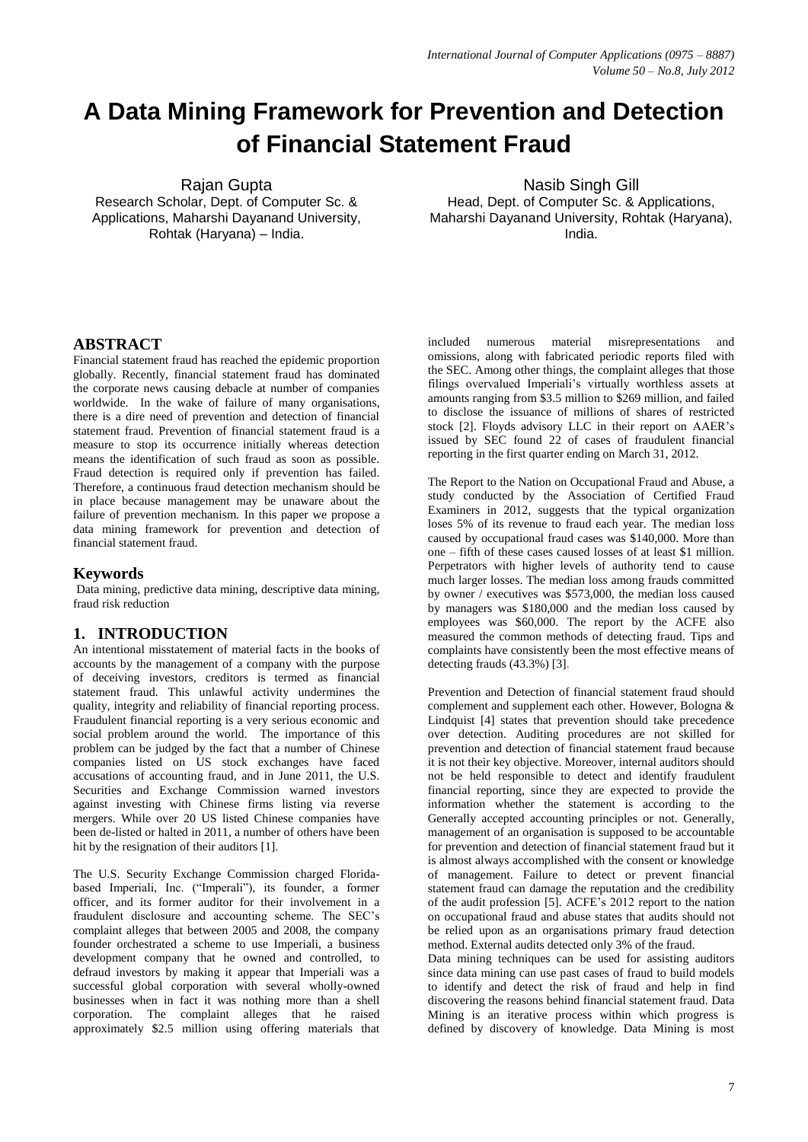# **A Data Mining Framework for Prevention and Detection of Financial Statement Fraud**

Rajan Gupta

Research Scholar, Dept. of Computer Sc. & Applications, Maharshi Dayanand University, Rohtak (Haryana) – India.

Nasib Singh Gill Head, Dept. of Computer Sc. & Applications, Maharshi Dayanand University, Rohtak (Haryana), India.

## **ABSTRACT**

Financial statement fraud has reached the epidemic proportion globally. Recently, financial statement fraud has dominated the corporate news causing debacle at number of companies worldwide. In the wake of failure of many organisations, there is a dire need of prevention and detection of financial statement fraud. Prevention of financial statement fraud is a measure to stop its occurrence initially whereas detection means the identification of such fraud as soon as possible. Fraud detection is required only if prevention has failed. Therefore, a continuous fraud detection mechanism should be in place because management may be unaware about the failure of prevention mechanism. In this paper we propose a data mining framework for prevention and detection of financial statement fraud.

#### **Keywords**

Data mining, predictive data mining, descriptive data mining, fraud risk reduction

# **1. INTRODUCTION**

An intentional misstatement of material facts in the books of accounts by the management of a company with the purpose of deceiving investors, creditors is termed as financial statement fraud. This unlawful activity undermines the quality, integrity and reliability of financial reporting process. Fraudulent financial reporting is a very serious economic and social problem around the world. The importance of this problem can be judged by the fact that a number of Chinese companies listed on US stock exchanges have faced accusations of accounting fraud, and in June 2011, the U.S. Securities and Exchange Commission warned investors against investing with Chinese firms listing via reverse mergers. While over 20 US listed Chinese companies have been de-listed or halted in 2011, a number of others have been hit by the resignation of their auditors [1].

The U.S. Security Exchange Commission charged Floridabased Imperiali, Inc. ("Imperali"), its founder, a former officer, and its former auditor for their involvement in a fraudulent disclosure and accounting scheme. The SEC"s complaint alleges that between 2005 and 2008, the company founder orchestrated a scheme to use Imperiali, a business development company that he owned and controlled, to defraud investors by making it appear that Imperiali was a successful global corporation with several wholly-owned businesses when in fact it was nothing more than a shell corporation. The complaint alleges that he raised approximately \$2.5 million using offering materials that

included numerous material misrepresentations and omissions, along with fabricated periodic reports filed with the SEC. Among other things, the complaint alleges that those filings overvalued Imperiali"s virtually worthless assets at amounts ranging from \$3.5 million to \$269 million, and failed to disclose the issuance of millions of shares of restricted stock [2]. Floyds advisory LLC in their report on AAER"s issued by SEC found 22 of cases of fraudulent financial reporting in the first quarter ending on March 31, 2012.

The Report to the Nation on Occupational Fraud and Abuse, a study conducted by the Association of Certified Fraud Examiners in 2012, suggests that the typical organization loses 5% of its revenue to fraud each year. The median loss caused by occupational fraud cases was \$140,000. More than one – fifth of these cases caused losses of at least \$1 million. Perpetrators with higher levels of authority tend to cause much larger losses. The median loss among frauds committed by owner / executives was \$573,000, the median loss caused by managers was \$180,000 and the median loss caused by employees was \$60,000. The report by the ACFE also measured the common methods of detecting fraud. Tips and complaints have consistently been the most effective means of detecting frauds (43.3%) [3].

Prevention and Detection of financial statement fraud should complement and supplement each other. However, Bologna & Lindquist [4] states that prevention should take precedence over detection. Auditing procedures are not skilled for prevention and detection of financial statement fraud because it is not their key objective. Moreover, internal auditors should not be held responsible to detect and identify fraudulent financial reporting, since they are expected to provide the information whether the statement is according to the Generally accepted accounting principles or not. Generally, management of an organisation is supposed to be accountable for prevention and detection of financial statement fraud but it is almost always accomplished with the consent or knowledge of management. Failure to detect or prevent financial statement fraud can damage the reputation and the credibility of the audit profession [5]. ACFE"s 2012 report to the nation on occupational fraud and abuse states that audits should not be relied upon as an organisations primary fraud detection method. External audits detected only 3% of the fraud.

Data mining techniques can be used for assisting auditors since data mining can use past cases of fraud to build models to identify and detect the risk of fraud and help in find discovering the reasons behind financial statement fraud. Data Mining is an iterative process within which progress is defined by discovery of knowledge. Data Mining is most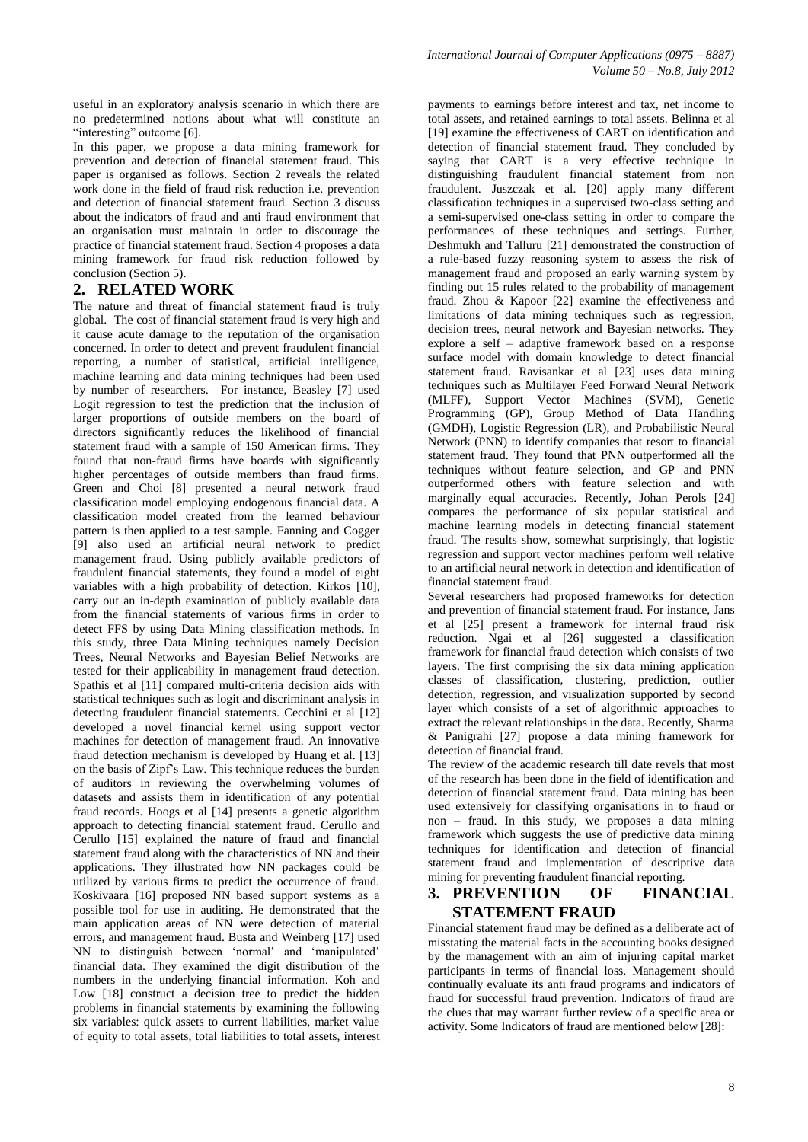useful in an exploratory analysis scenario in which there are no predetermined notions about what will constitute an "interesting" outcome [6].

In this paper, we propose a data mining framework for prevention and detection of financial statement fraud. This paper is organised as follows. Section 2 reveals the related work done in the field of fraud risk reduction i.e. prevention and detection of financial statement fraud. Section 3 discuss about the indicators of fraud and anti fraud environment that an organisation must maintain in order to discourage the practice of financial statement fraud. Section 4 proposes a data mining framework for fraud risk reduction followed by conclusion (Section 5).

#### **2. RELATED WORK**

The nature and threat of financial statement fraud is truly global. The cost of financial statement fraud is very high and it cause acute damage to the reputation of the organisation concerned. In order to detect and prevent fraudulent financial reporting, a number of statistical, artificial intelligence, machine learning and data mining techniques had been used by number of researchers. For instance, Beasley [7] used Logit regression to test the prediction that the inclusion of larger proportions of outside members on the board of directors significantly reduces the likelihood of financial statement fraud with a sample of 150 American firms. They found that non-fraud firms have boards with significantly higher percentages of outside members than fraud firms. Green and Choi [8] presented a neural network fraud classification model employing endogenous financial data. A classification model created from the learned behaviour pattern is then applied to a test sample. Fanning and Cogger [9] also used an artificial neural network to predict management fraud. Using publicly available predictors of fraudulent financial statements, they found a model of eight variables with a high probability of detection. Kirkos [10], carry out an in-depth examination of publicly available data from the financial statements of various firms in order to detect FFS by using Data Mining classification methods. In this study, three Data Mining techniques namely Decision Trees, Neural Networks and Bayesian Belief Networks are tested for their applicability in management fraud detection. Spathis et al [11] compared multi-criteria decision aids with statistical techniques such as logit and discriminant analysis in detecting fraudulent financial statements. Cecchini et al [12] developed a novel financial kernel using support vector machines for detection of management fraud. An innovative fraud detection mechanism is developed by Huang et al. [13] on the basis of Zipf"s Law. This technique reduces the burden of auditors in reviewing the overwhelming volumes of datasets and assists them in identification of any potential fraud records. Hoogs et al [14] presents a genetic algorithm approach to detecting financial statement fraud. Cerullo and Cerullo [15] explained the nature of fraud and financial statement fraud along with the characteristics of NN and their applications. They illustrated how NN packages could be utilized by various firms to predict the occurrence of fraud. Koskivaara [16] proposed NN based support systems as a possible tool for use in auditing. He demonstrated that the main application areas of NN were detection of material errors, and management fraud. Busta and Weinberg [17] used NN to distinguish between "normal" and "manipulated" financial data. They examined the digit distribution of the numbers in the underlying financial information. Koh and Low [18] construct a decision tree to predict the hidden problems in financial statements by examining the following six variables: quick assets to current liabilities, market value of equity to total assets, total liabilities to total assets, interest

payments to earnings before interest and tax, net income to total assets, and retained earnings to total assets. Belinna et al [19] examine the effectiveness of CART on identification and detection of financial statement fraud. They concluded by saying that CART is a very effective technique in distinguishing fraudulent financial statement from non fraudulent. Juszczak et al. [20] apply many different classification techniques in a supervised two-class setting and a semi-supervised one-class setting in order to compare the performances of these techniques and settings. Further, Deshmukh and Talluru [21] demonstrated the construction of a rule-based fuzzy reasoning system to assess the risk of management fraud and proposed an early warning system by finding out 15 rules related to the probability of management fraud. Zhou & Kapoor [22] examine the effectiveness and limitations of data mining techniques such as regression, decision trees, neural network and Bayesian networks. They explore a self – adaptive framework based on a response surface model with domain knowledge to detect financial statement fraud. Ravisankar et al [23] uses data mining techniques such as Multilayer Feed Forward Neural Network (MLFF), Support Vector Machines (SVM), Genetic Programming (GP), Group Method of Data Handling (GMDH), Logistic Regression (LR), and Probabilistic Neural Network (PNN) to identify companies that resort to financial statement fraud. They found that PNN outperformed all the techniques without feature selection, and GP and PNN outperformed others with feature selection and with marginally equal accuracies. Recently, Johan Perols [24] compares the performance of six popular statistical and machine learning models in detecting financial statement fraud. The results show, somewhat surprisingly, that logistic regression and support vector machines perform well relative to an artificial neural network in detection and identification of financial statement fraud.

Several researchers had proposed frameworks for detection and prevention of financial statement fraud. For instance, Jans et al [25] present a framework for internal fraud risk reduction. Ngai et al [26] suggested a classification framework for financial fraud detection which consists of two layers. The first comprising the six data mining application classes of classification, clustering, prediction, outlier detection, regression, and visualization supported by second layer which consists of a set of algorithmic approaches to extract the relevant relationships in the data. Recently, Sharma & Panigrahi [27] propose a data mining framework for detection of financial fraud.

The review of the academic research till date revels that most of the research has been done in the field of identification and detection of financial statement fraud. Data mining has been used extensively for classifying organisations in to fraud or non – fraud. In this study, we proposes a data mining framework which suggests the use of predictive data mining techniques for identification and detection of financial statement fraud and implementation of descriptive data mining for preventing fraudulent financial reporting.

## **3. PREVENTION OF FINANCIAL STATEMENT FRAUD**

Financial statement fraud may be defined as a deliberate act of misstating the material facts in the accounting books designed by the management with an aim of injuring capital market participants in terms of financial loss. Management should continually evaluate its anti fraud programs and indicators of fraud for successful fraud prevention. Indicators of fraud are the clues that may warrant further review of a specific area or activity. Some Indicators of fraud are mentioned below [28]: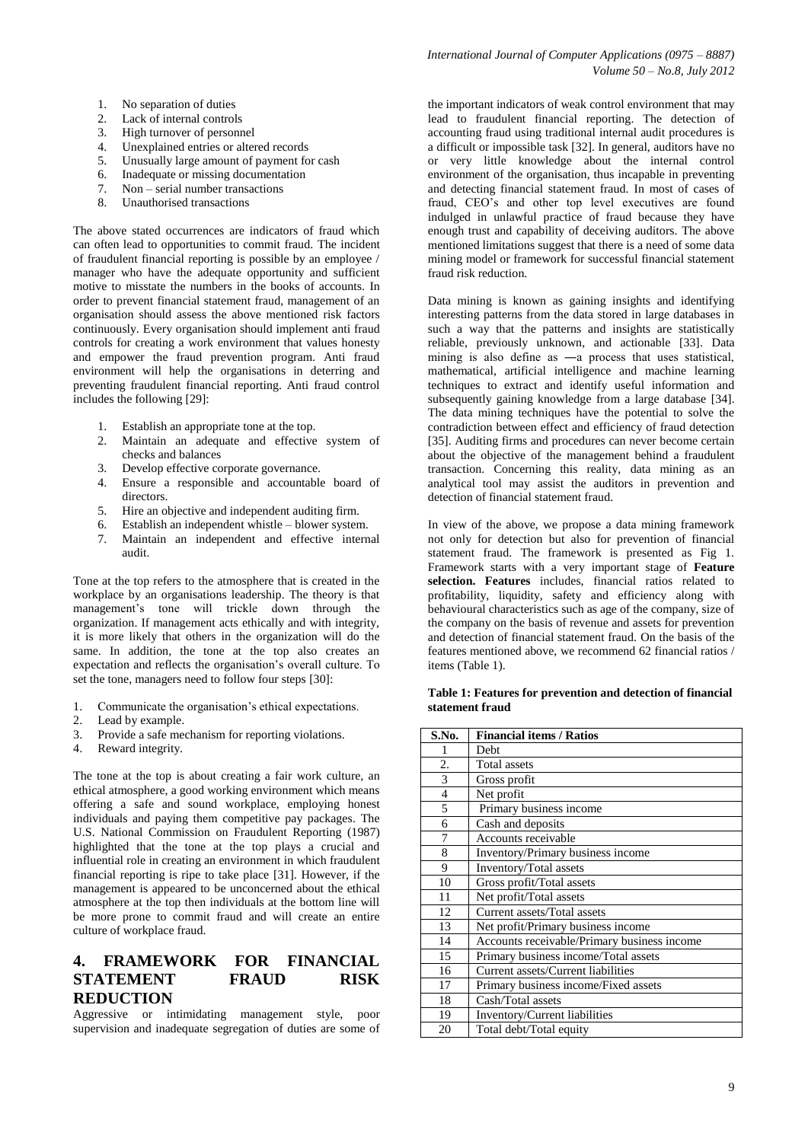- 1. No separation of duties
- 2. Lack of internal controls
- 3. High turnover of personnel
- 4. Unexplained entries or altered records
- 5. Unusually large amount of payment for cash
- 6. Inadequate or missing documentation
- 7. Non serial number transactions
- 8. Unauthorised transactions

The above stated occurrences are indicators of fraud which can often lead to opportunities to commit fraud. The incident of fraudulent financial reporting is possible by an employee / manager who have the adequate opportunity and sufficient motive to misstate the numbers in the books of accounts. In order to prevent financial statement fraud, management of an organisation should assess the above mentioned risk factors continuously. Every organisation should implement anti fraud controls for creating a work environment that values honesty and empower the fraud prevention program. Anti fraud environment will help the organisations in deterring and preventing fraudulent financial reporting. Anti fraud control includes the following [29]:

- 1. Establish an appropriate tone at the top.
- 2. Maintain an adequate and effective system of checks and balances
- 3. Develop effective corporate governance.
- 4. Ensure a responsible and accountable board of directors.
- 5. Hire an objective and independent auditing firm.
- 6. Establish an independent whistle blower system.
- 7. Maintain an independent and effective internal audit.

Tone at the top refers to the atmosphere that is created in the workplace by an organisations leadership. The theory is that management"s tone will trickle down through the organization. If management acts ethically and with integrity, it is more likely that others in the organization will do the same. In addition, the tone at the top also creates an expectation and reflects the organisation"s overall culture. To set the tone, managers need to follow four steps [30]:

- 1. Communicate the organisation"s ethical expectations.
- 2. Lead by example.
- 3. Provide a safe mechanism for reporting violations.
- 4. Reward integrity.

The tone at the top is about creating a fair work culture, an ethical atmosphere, a good working environment which means offering a safe and sound workplace, employing honest individuals and paying them competitive pay packages. The U.S. National Commission on Fraudulent Reporting (1987) highlighted that the tone at the top plays a crucial and influential role in creating an environment in which fraudulent financial reporting is ripe to take place [31]. However, if the management is appeared to be unconcerned about the ethical atmosphere at the top then individuals at the bottom line will be more prone to commit fraud and will create an entire culture of workplace fraud.

## **4. FRAMEWORK FOR FINANCIAL STATEMENT FRAUD RISK REDUCTION**

Aggressive or intimidating management style, poor supervision and inadequate segregation of duties are some of

the important indicators of weak control environment that may lead to fraudulent financial reporting. The detection of accounting fraud using traditional internal audit procedures is a difficult or impossible task [32]. In general, auditors have no or very little knowledge about the internal control environment of the organisation, thus incapable in preventing and detecting financial statement fraud. In most of cases of fraud, CEO's and other top level executives are found indulged in unlawful practice of fraud because they have enough trust and capability of deceiving auditors. The above mentioned limitations suggest that there is a need of some data mining model or framework for successful financial statement fraud risk reduction.

Data mining is known as gaining insights and identifying interesting patterns from the data stored in large databases in such a way that the patterns and insights are statistically reliable, previously unknown, and actionable [33]. Data mining is also define as ―a process that uses statistical, mathematical, artificial intelligence and machine learning techniques to extract and identify useful information and subsequently gaining knowledge from a large database [34]. The data mining techniques have the potential to solve the contradiction between effect and efficiency of fraud detection [35]. Auditing firms and procedures can never become certain about the objective of the management behind a fraudulent transaction. Concerning this reality, data mining as an analytical tool may assist the auditors in prevention and detection of financial statement fraud.

In view of the above, we propose a data mining framework not only for detection but also for prevention of financial statement fraud. The framework is presented as Fig 1. Framework starts with a very important stage of **Feature selection. Features** includes, financial ratios related to profitability, liquidity, safety and efficiency along with behavioural characteristics such as age of the company, size of the company on the basis of revenue and assets for prevention and detection of financial statement fraud. On the basis of the features mentioned above, we recommend 62 financial ratios / items (Table 1).

#### **Table 1: Features for prevention and detection of financial statement fraud**

| S.No.          | <b>Financial items / Ratios</b>             |
|----------------|---------------------------------------------|
| 1              | Debt                                        |
| 2.             | <b>Total</b> assets                         |
| 3              | Gross profit                                |
| $\overline{4}$ | Net profit                                  |
| 5              | Primary business income                     |
| 6              | Cash and deposits                           |
| 7              | Accounts receivable                         |
| 8              | Inventory/Primary business income           |
| 9              | Inventory/Total assets                      |
| 10             | Gross profit/Total assets                   |
| 11             | Net profit/Total assets                     |
| 12             | Current assets/Total assets                 |
| 13             | Net profit/Primary business income          |
| 14             | Accounts receivable/Primary business income |
| 15             | Primary business income/Total assets        |
| 16             | Current assets/Current liabilities          |
| 17             | Primary business income/Fixed assets        |
| 18             | Cash/Total assets                           |
| 19             | Inventory/Current liabilities               |
| 20             | Total debt/Total equity                     |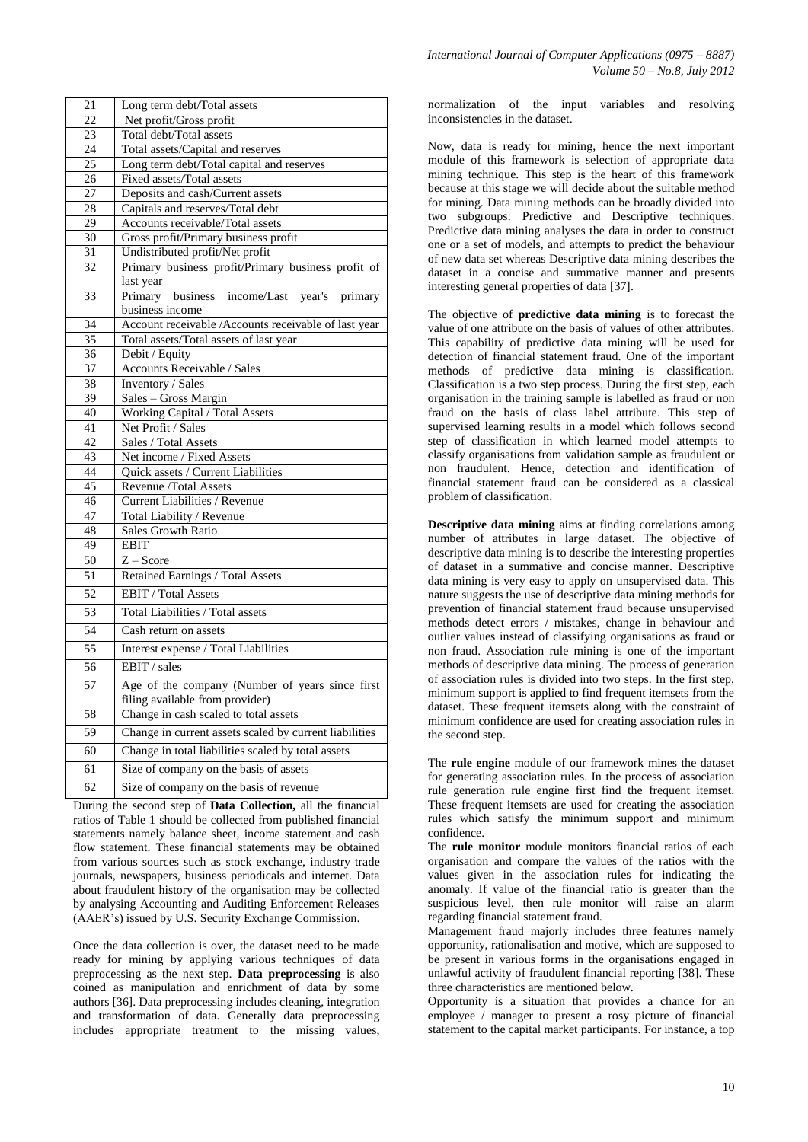| 21              | Long term debt/Total assets                             |
|-----------------|---------------------------------------------------------|
| 22              | Net profit/Gross profit                                 |
| 23              | Total debt/Total assets                                 |
| 24              | Total assets/Capital and reserves                       |
| $\overline{25}$ | Long term debt/Total capital and reserves               |
| $\overline{26}$ | Fixed assets/Total assets                               |
| 27              | Deposits and cash/Current assets                        |
| 28              | Capitals and reserves/Total debt                        |
| 29              | Accounts receivable/Total assets                        |
| 30              | Gross profit/Primary business profit                    |
| 31              | Undistributed profit/Net profit                         |
| 32              | Primary business profit/Primary business profit of      |
|                 | last year                                               |
| 33              | Primary<br>business<br>income/Last<br>year's<br>primary |
|                 | business income                                         |
| 34              | Account receivable /Accounts receivable of last year    |
| $\overline{35}$ | Total assets/Total assets of last year                  |
| 36              | Debit / Equity                                          |
| 37              | Accounts Receivable / Sales                             |
| 38              | Inventory / Sales                                       |
| 39              | Sales - Gross Margin                                    |
| 40              | Working Capital / Total Assets                          |
| 41              | Net Profit / Sales                                      |
| 42              | Sales / Total Assets                                    |
| 43              | Net income / Fixed Assets                               |
| 44              | Quick assets / Current Liabilities                      |
| 45              | Revenue /Total Assets                                   |
| 46              | Current Liabilities / Revenue                           |
| 47              | Total Liability / Revenue                               |
| 48              | <b>Sales Growth Ratio</b>                               |
| 49              | <b>EBIT</b>                                             |
| 50<br>51        | $Z - Score$                                             |
|                 | Retained Earnings / Total Assets                        |
| $\overline{52}$ | EBIT / Total Assets                                     |
| 53              | Total Liabilities / Total assets                        |
| 54              | Cash return on assets                                   |
| 55              | Interest expense / Total Liabilities                    |
| 56              | EBIT / sales                                            |
| 57              | Age of the company (Number of years since first         |
|                 | filing available from provider)                         |
| 58              | Change in cash scaled to total assets                   |
| 59              | Change in current assets scaled by current liabilities  |
| 60              | Change in total liabilities scaled by total assets      |
| 61              | Size of company on the basis of assets                  |
| 62              | Size of company on the basis of revenue                 |

During the second step of **Data Collection,** all the financial ratios of Table 1 should be collected from published financial statements namely balance sheet, income statement and cash flow statement. These financial statements may be obtained from various sources such as stock exchange, industry trade journals, newspapers, business periodicals and internet. Data about fraudulent history of the organisation may be collected by analysing Accounting and Auditing Enforcement Releases (AAER"s) issued by U.S. Security Exchange Commission.

Once the data collection is over, the dataset need to be made ready for mining by applying various techniques of data preprocessing as the next step. **Data preprocessing** is also coined as manipulation and enrichment of data by some authors [36]. Data preprocessing includes cleaning, integration and transformation of data. Generally data preprocessing includes appropriate treatment to the missing values, normalization of the input variables and resolving inconsistencies in the dataset.

Now, data is ready for mining, hence the next important module of this framework is selection of appropriate data mining technique. This step is the heart of this framework because at this stage we will decide about the suitable method for mining. Data mining methods can be broadly divided into two subgroups: Predictive and Descriptive techniques. Predictive data mining analyses the data in order to construct one or a set of models, and attempts to predict the behaviour of new data set whereas Descriptive data mining describes the dataset in a concise and summative manner and presents interesting general properties of data [37].

The objective of **predictive data mining** is to forecast the value of one attribute on the basis of values of other attributes. This capability of predictive data mining will be used for detection of financial statement fraud. One of the important methods of predictive data mining is classification. Classification is a two step process. During the first step, each organisation in the training sample is labelled as fraud or non fraud on the basis of class label attribute. This step of supervised learning results in a model which follows second step of classification in which learned model attempts to classify organisations from validation sample as fraudulent or non fraudulent. Hence, detection and identification of financial statement fraud can be considered as a classical problem of classification.

**Descriptive data mining** aims at finding correlations among number of attributes in large dataset. The objective of descriptive data mining is to describe the interesting properties of dataset in a summative and concise manner. Descriptive data mining is very easy to apply on unsupervised data. This nature suggests the use of descriptive data mining methods for prevention of financial statement fraud because unsupervised methods detect errors / mistakes, change in behaviour and outlier values instead of classifying organisations as fraud or non fraud. Association rule mining is one of the important methods of descriptive data mining. The process of generation of association rules is divided into two steps. In the first step, minimum support is applied to find frequent itemsets from the dataset. These frequent itemsets along with the constraint of minimum confidence are used for creating association rules in the second step.

The **rule engine** module of our framework mines the dataset for generating association rules. In the process of association rule generation rule engine first find the frequent itemset. These frequent itemsets are used for creating the association rules which satisfy the minimum support and minimum confidence.

The **rule monitor** module monitors financial ratios of each organisation and compare the values of the ratios with the values given in the association rules for indicating the anomaly. If value of the financial ratio is greater than the suspicious level, then rule monitor will raise an alarm regarding financial statement fraud.

Management fraud majorly includes three features namely opportunity, rationalisation and motive, which are supposed to be present in various forms in the organisations engaged in unlawful activity of fraudulent financial reporting [38]. These three characteristics are mentioned below.

Opportunity is a situation that provides a chance for an employee / manager to present a rosy picture of financial statement to the capital market participants. For instance, a top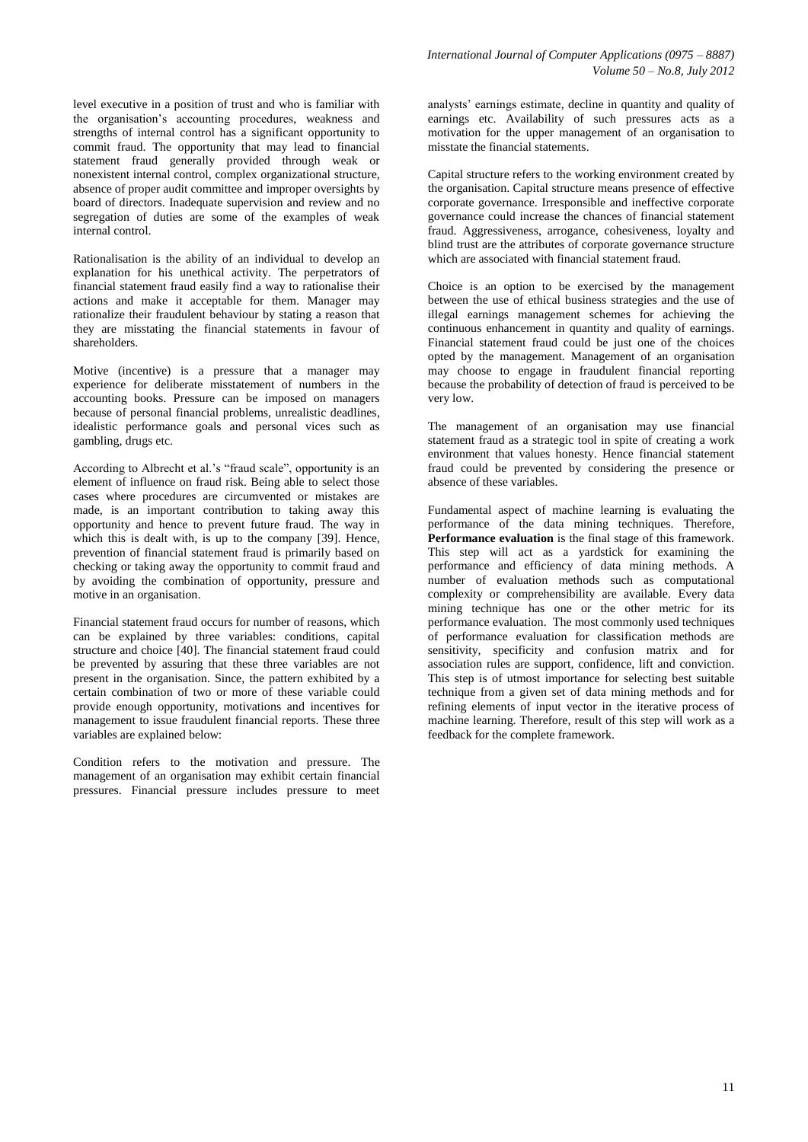level executive in a position of trust and who is familiar with the organisation"s accounting procedures, weakness and strengths of internal control has a significant opportunity to commit fraud. The opportunity that may lead to financial statement fraud generally provided through weak or nonexistent internal control, complex organizational structure, absence of proper audit committee and improper oversights by board of directors. Inadequate supervision and review and no segregation of duties are some of the examples of weak internal control.

Rationalisation is the ability of an individual to develop an explanation for his unethical activity. The perpetrators of financial statement fraud easily find a way to rationalise their actions and make it acceptable for them. Manager may rationalize their fraudulent behaviour by stating a reason that they are misstating the financial statements in favour of shareholders.

Motive (incentive) is a pressure that a manager may experience for deliberate misstatement of numbers in the accounting books. Pressure can be imposed on managers because of personal financial problems, unrealistic deadlines, idealistic performance goals and personal vices such as gambling, drugs etc.

According to Albrecht et al.'s "fraud scale", opportunity is an element of influence on fraud risk. Being able to select those cases where procedures are circumvented or mistakes are made, is an important contribution to taking away this opportunity and hence to prevent future fraud. The way in which this is dealt with, is up to the company [39]. Hence, prevention of financial statement fraud is primarily based on checking or taking away the opportunity to commit fraud and by avoiding the combination of opportunity, pressure and motive in an organisation.

Financial statement fraud occurs for number of reasons, which can be explained by three variables: conditions, capital structure and choice [40]. The financial statement fraud could be prevented by assuring that these three variables are not present in the organisation. Since, the pattern exhibited by a certain combination of two or more of these variable could provide enough opportunity, motivations and incentives for management to issue fraudulent financial reports. These three variables are explained below:

Condition refers to the motivation and pressure. The management of an organisation may exhibit certain financial pressures. Financial pressure includes pressure to meet

analysts" earnings estimate, decline in quantity and quality of earnings etc. Availability of such pressures acts as a motivation for the upper management of an organisation to misstate the financial statements.

Capital structure refers to the working environment created by the organisation. Capital structure means presence of effective corporate governance. Irresponsible and ineffective corporate governance could increase the chances of financial statement fraud. Aggressiveness, arrogance, cohesiveness, loyalty and blind trust are the attributes of corporate governance structure which are associated with financial statement fraud.

Choice is an option to be exercised by the management between the use of ethical business strategies and the use of illegal earnings management schemes for achieving the continuous enhancement in quantity and quality of earnings. Financial statement fraud could be just one of the choices opted by the management. Management of an organisation may choose to engage in fraudulent financial reporting because the probability of detection of fraud is perceived to be very low.

The management of an organisation may use financial statement fraud as a strategic tool in spite of creating a work environment that values honesty. Hence financial statement fraud could be prevented by considering the presence or absence of these variables.

Fundamental aspect of machine learning is evaluating the performance of the data mining techniques. Therefore, **Performance evaluation** is the final stage of this framework. This step will act as a yardstick for examining the performance and efficiency of data mining methods. A number of evaluation methods such as computational complexity or comprehensibility are available. Every data mining technique has one or the other metric for its performance evaluation. The most commonly used techniques of performance evaluation for classification methods are sensitivity, specificity and confusion matrix and for association rules are support, confidence, lift and conviction. This step is of utmost importance for selecting best suitable technique from a given set of data mining methods and for refining elements of input vector in the iterative process of machine learning. Therefore, result of this step will work as a feedback for the complete framework.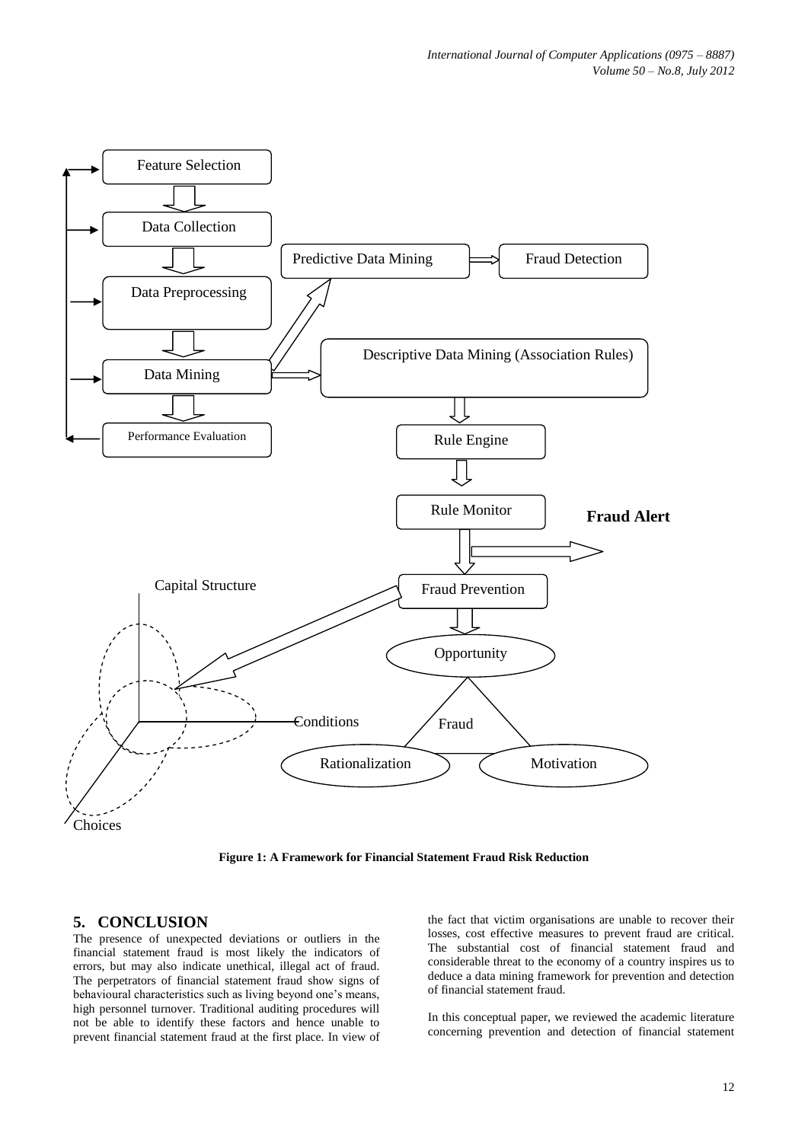

**Figure 1: A Framework for Financial Statement Fraud Risk Reduction**

#### **5. CONCLUSION**

The presence of unexpected deviations or outliers in the financial statement fraud is most likely the indicators of errors, but may also indicate unethical, illegal act of fraud. The perpetrators of financial statement fraud show signs of behavioural characteristics such as living beyond one"s means, high personnel turnover. Traditional auditing procedures will not be able to identify these factors and hence unable to prevent financial statement fraud at the first place. In view of the fact that victim organisations are unable to recover their losses, cost effective measures to prevent fraud are critical. The substantial cost of financial statement fraud and considerable threat to the economy of a country inspires us to deduce a data mining framework for prevention and detection of financial statement fraud.

In this conceptual paper, we reviewed the academic literature concerning prevention and detection of financial statement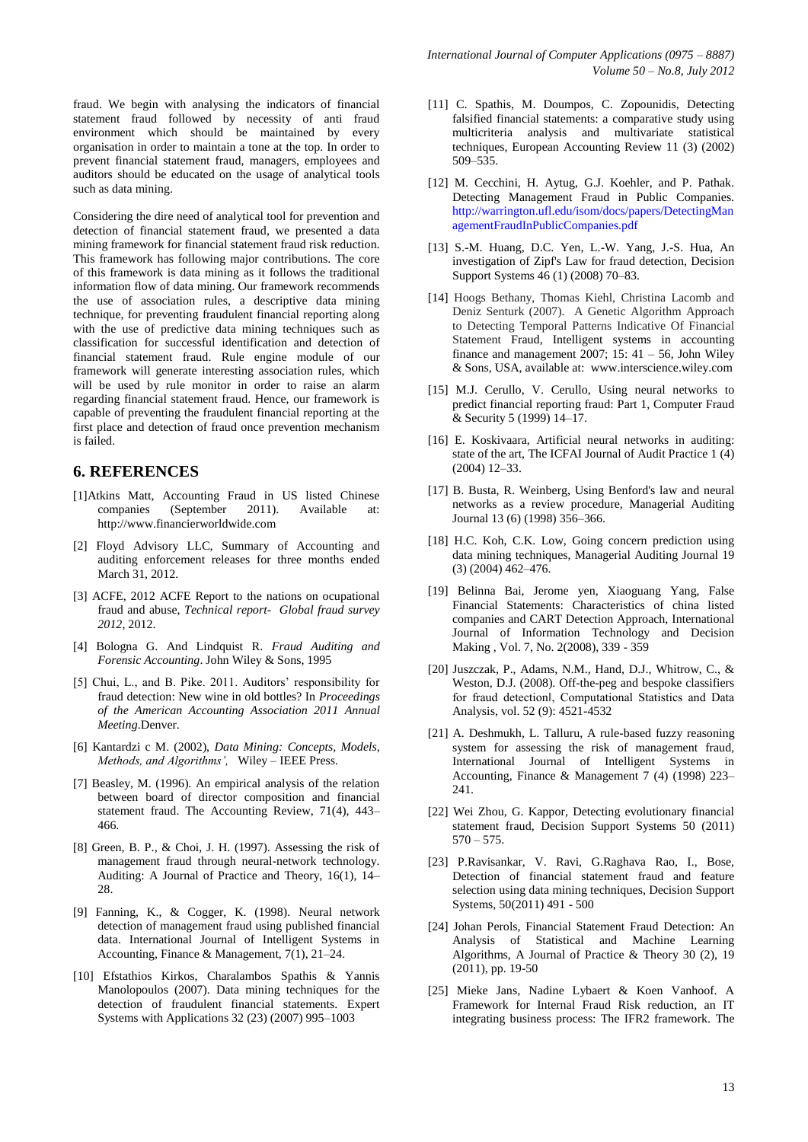fraud. We begin with analysing the indicators of financial statement fraud followed by necessity of anti fraud environment which should be maintained by every organisation in order to maintain a tone at the top. In order to prevent financial statement fraud, managers, employees and auditors should be educated on the usage of analytical tools such as data mining.

Considering the dire need of analytical tool for prevention and detection of financial statement fraud, we presented a data mining framework for financial statement fraud risk reduction. This framework has following major contributions. The core of this framework is data mining as it follows the traditional information flow of data mining. Our framework recommends the use of association rules, a descriptive data mining technique, for preventing fraudulent financial reporting along with the use of predictive data mining techniques such as classification for successful identification and detection of financial statement fraud. Rule engine module of our framework will generate interesting association rules, which will be used by rule monitor in order to raise an alarm regarding financial statement fraud. Hence, our framework is capable of preventing the fraudulent financial reporting at the first place and detection of fraud once prevention mechanism is failed.

#### **6. REFERENCES**

- [1]Atkins Matt, Accounting Fraud in US listed Chinese companies (September 2011). Available at: http://www.financierworldwide.com
- [2] Floyd Advisory LLC, Summary of Accounting and auditing enforcement releases for three months ended March 31, 2012.
- [3] ACFE, 2012 ACFE Report to the nations on ocupational fraud and abuse, *Technical report- Global fraud survey 2012*, 2012.
- [4] Bologna G. And Lindquist R. *Fraud Auditing and Forensic Accounting*. John Wiley & Sons, 1995
- [5] Chui, L., and B. Pike. 2011. Auditors' responsibility for fraud detection: New wine in old bottles? In *Proceedings of the American Accounting Association 2011 Annual Meeting*.Denver.
- [6] Kantardzi c M. (2002), *Data Mining: Concepts, Models, Methods, and Algorithms',* Wiley – IEEE Press.
- [7] Beasley, M. (1996). An empirical analysis of the relation between board of director composition and financial statement fraud. The Accounting Review, 71(4), 443– 466.
- [8] Green, B. P., & Choi, J. H. (1997). Assessing the risk of management fraud through neural-network technology. Auditing: A Journal of Practice and Theory, 16(1), 14– 28.
- [9] Fanning, K., & Cogger, K. (1998). Neural network detection of management fraud using published financial data. International Journal of Intelligent Systems in Accounting, Finance & Management, 7(1), 21–24.
- [10] Efstathios Kirkos, Charalambos Spathis & Yannis Manolopoulos (2007). Data mining techniques for the detection of fraudulent financial statements. Expert Systems with Applications 32 (23) (2007) 995–1003
- [11] C. Spathis, M. Doumpos, C. Zopounidis, Detecting falsified financial statements: a comparative study using multicriteria analysis and multivariate statistical techniques, European Accounting Review 11 (3) (2002) 509–535.
- [12] M. Cecchini, H. Aytug, G.J. Koehler, and P. Pathak. Detecting Management Fraud in Public Companies. http://warrington.ufl.edu/isom/docs/papers/DetectingMan agementFraudInPublicCompanies.pdf
- [13] S.-M. Huang, D.C. Yen, L.-W. Yang, J.-S. Hua, An investigation of Zipf's Law for fraud detection, Decision Support Systems 46 (1) (2008) 70–83.
- [14] Hoogs Bethany, Thomas Kiehl, Christina Lacomb and Deniz Senturk (2007). A Genetic Algorithm Approach to Detecting Temporal Patterns Indicative Of Financial Statement Fraud, Intelligent systems in accounting finance and management  $2007$ ; 15: 41 – 56, John Wiley & Sons, USA, available at: www.interscience.wiley.com
- [15] M.J. Cerullo, V. Cerullo, Using neural networks to predict financial reporting fraud: Part 1, Computer Fraud & Security 5 (1999) 14–17.
- [16] E. Koskivaara, Artificial neural networks in auditing: state of the art, The ICFAI Journal of Audit Practice 1 (4) (2004) 12–33.
- [17] B. Busta, R. Weinberg, Using Benford's law and neural networks as a review procedure, Managerial Auditing Journal 13 (6) (1998) 356–366.
- [18] H.C. Koh, C.K. Low, Going concern prediction using data mining techniques, Managerial Auditing Journal 19 (3) (2004) 462–476.
- [19] Belinna Bai, Jerome yen, Xiaoguang Yang, False Financial Statements: Characteristics of china listed companies and CART Detection Approach, International Journal of Information Technology and Decision Making , Vol. 7, No. 2(2008), 339 - 359
- [20] Juszczak, P., Adams, N.M., Hand, D.J., Whitrow, C., & Weston, D.J. (2008). Off-the-peg and bespoke classifiers for fraud detection‖, Computational Statistics and Data Analysis, vol. 52 (9): 4521-4532
- [21] A. Deshmukh, L. Talluru, A rule-based fuzzy reasoning system for assessing the risk of management fraud, International Journal of Intelligent Systems in Accounting, Finance & Management 7 (4) (1998) 223– 241.
- [22] Wei Zhou, G. Kappor, Detecting evolutionary financial statement fraud, Decision Support Systems 50 (2011)  $570 - 575.$
- [23] P.Ravisankar, V. Ravi, G.Raghava Rao, I., Bose, Detection of financial statement fraud and feature selection using data mining techniques, Decision Support Systems, 50(2011) 491 - 500
- [24] Johan Perols, Financial Statement Fraud Detection: An Analysis of Statistical and Machine Learning Algorithms, A Journal of Practice & Theory 30 (2), 19 (2011), pp. 19-50
- [25] Mieke Jans, Nadine Lybaert & Koen Vanhoof. A Framework for Internal Fraud Risk reduction, an IT integrating business process: The IFR2 framework. The